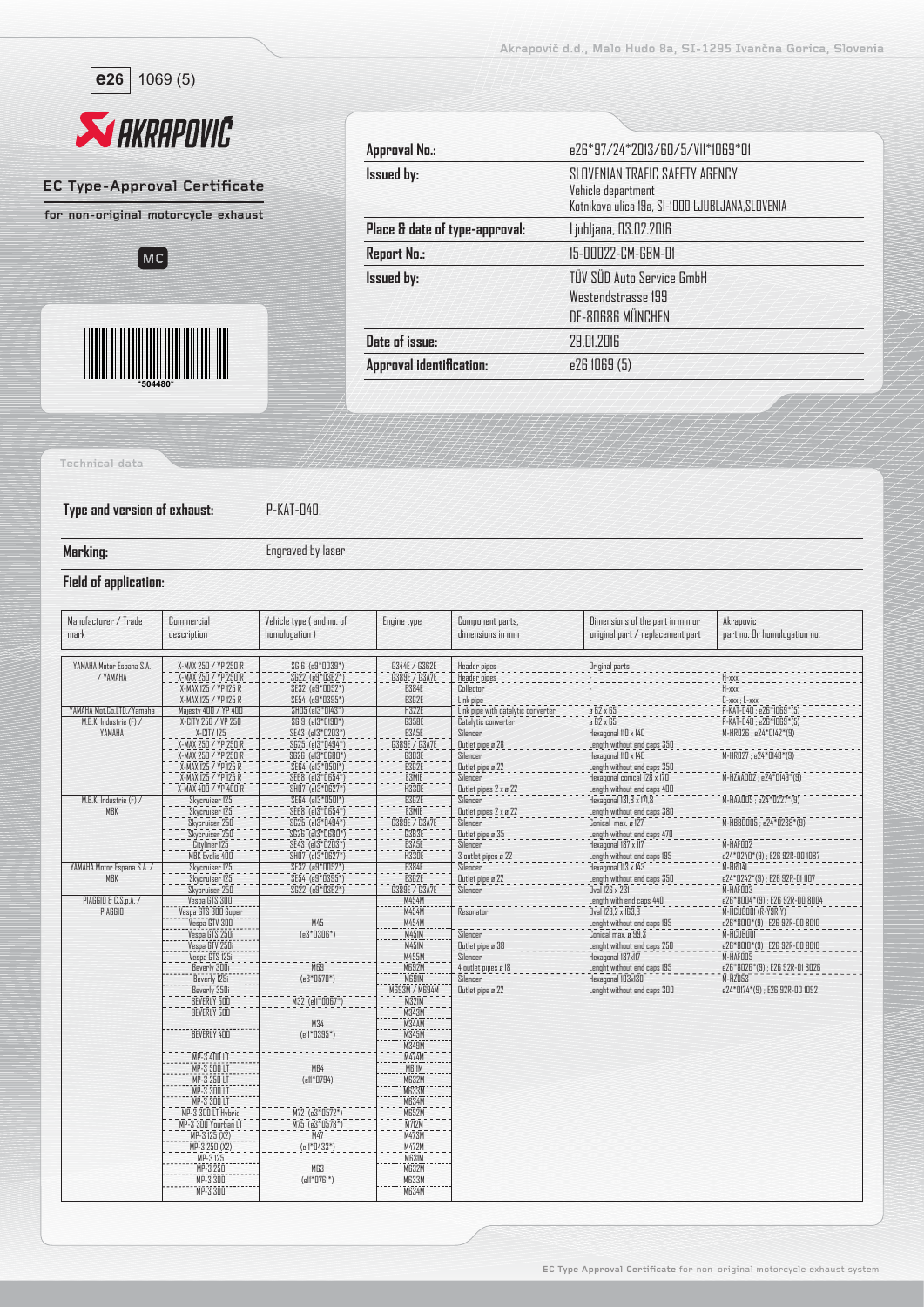





| Approval No.:                  | e26*97/24*2013/60/5/VII*1069*01                                                                          |
|--------------------------------|----------------------------------------------------------------------------------------------------------|
| <b>Issued by:</b>              | SLOVENIAN TRAFIC SAFETY AGENCY<br>Vehicle department<br>Kotnikova ulica 19a, SI-1000 LJUBLJANA, SLOVENIA |
| Place & date of type-approval: | Ljubljana, 03.02.2016                                                                                    |
| <b>Report No.:</b>             | 15-00022-CM-GBM-01                                                                                       |
| <b>Issued by:</b>              | TÜV SÜD Auto Service GmbH<br>Westendstrasse 199<br>DE-80686 MÜNCHEN                                      |
| Date of issue:                 | 29.01.2016                                                                                               |
| Approval identification:       | e26 IO69 (5)                                                                                             |

**Technical data**

**Type and version of exhaust:** P-KAT-040.

**Marking:** Engraved by laser

## **Field of application:**

| Manufacturer / Trade<br>mark         | Commercial<br>description                                            | Vehicle type (and no. of<br>homologation)             | Engine type                           | Component parts,<br>dimensions in mm      | Dimensions of the part in mm or<br>original part / replacement part                                                                                                                                                                                                              | Akrapovic<br>part no. Or homologation no.  |
|--------------------------------------|----------------------------------------------------------------------|-------------------------------------------------------|---------------------------------------|-------------------------------------------|----------------------------------------------------------------------------------------------------------------------------------------------------------------------------------------------------------------------------------------------------------------------------------|--------------------------------------------|
| YAMAHA Motor Espana S.A.<br>/ YAMAHA | X-MAX 250 / YP 250 R<br>X-MAX 250 / YP 250 R<br>X-MAX 125 / YP 125 R | SGI6 (e9*0039*)<br>SG22 (e9*0362*)<br>SE32 (e9*0052*) | G344E / G362E<br><b>G389E / G3A7E</b> | Header pipes<br>Header pipes<br>Collector | Driginal parts                                                                                                                                                                                                                                                                   | H-xxx<br>$H$ -xxx                          |
|                                      | X-MAX 125 / YP 125 R                                                 | SE54 (e9*0395*)                                       | E384E<br>E3G2E                        | Link pipe                                 |                                                                                                                                                                                                                                                                                  | $C$ -xxx : $L$ -xxx                        |
| YAMAHA Mot.Co.LTD./Yamaha            | Majesty 400 / YP 400                                                 | SHO5 (el3*0143*)                                      | <b>H322E</b>                          | Link pipe with catalytic converter        | $\begin{array}{r}\n\hline\n\text{B} & \text{B} & \text{B} \\ \hline\n\text{C} & \text{B} & \text{B} \\ \hline\n\text{D} & \text{B} & \text{B} \\ \hline\n\end{array} \times \begin{array}{r}\n\hline\n\text{B} & \text{B} \\ \hline\n\text{B} & \text{B} \\ \hline\n\end{array}$ | P-KAT-040 : e26*1069*(5)                   |
| M.B.K. Industrie (F) /               | X-CITY 250 / VP 250                                                  | SGI9 (e13*0190*)                                      | G358E                                 | Catalytic converter                       |                                                                                                                                                                                                                                                                                  | P-KAT-D4D; e26*ID69*(5)                    |
| YAMAHA                               | X-CITY 125                                                           | SE43 (el3*0203*)                                      | E3ASE                                 | Silencer                                  | Hexagonal IID x 14D                                                                                                                                                                                                                                                              | M-HR026; e24*0142*(9)                      |
|                                      | X-MAX 250 / YP 250 R                                                 | SG25 (el3*0494*)                                      | G389E / G3A7E                         | Outlet pipe a 28                          | Length without end caps 350                                                                                                                                                                                                                                                      |                                            |
|                                      | X-MAX 250 / YP 250 R<br>X-MAX 125 / YP 125 R                         | SG26 (el3*0680*)<br>SE64 (el3*0501*)                  | G3B3E<br><b>E3G2E</b>                 | Silencer<br>Outlet pipe a 22              | Hexagonal IID x 14D                                                                                                                                                                                                                                                              | M-HR027 ; e24*0148*(9)                     |
|                                      | X-MAX 125 / YP 125 R                                                 | SE68 (el3*0654*)                                      | <b>E3MIE</b>                          | Silencer                                  | Length without end caps 350<br>Hexagonal conical 128 x 170                                                                                                                                                                                                                       | M-HZAADD2; e24*DI49*(9)                    |
|                                      | X-MAX 400 / YP 400 R                                                 | SHO7 (el3*0627*)                                      | H330E                                 | Outlet pipes 2 x a 22                     | Length without end caps 400                                                                                                                                                                                                                                                      |                                            |
| M.B.K. Industrie (F) /               | Skycruiser 125                                                       | SE64 (el3*0501*)                                      | E3G2E                                 | Silencer                                  | Hexagonal 131,8 x 171,8                                                                                                                                                                                                                                                          | M-HAAOOS : e24*0227*(9)                    |
| MBK                                  | Skycruiser 125                                                       | SE68 (el3*0654*)                                      | <b>E3MIE</b>                          | Outlet pipes 2 x ø 22                     | Length without end caps 380                                                                                                                                                                                                                                                      |                                            |
|                                      | Skycruiser 250                                                       | SG25 (el3*0494*)                                      | G389E / G3A7E                         | Silencer                                  | Conical max. a 127                                                                                                                                                                                                                                                               | M-HBB0005; e24*0238*(9)                    |
|                                      | Skycruiser 250                                                       | SG26 (el3*0680*)                                      | G3B3E                                 | Outlet pipe ø 35                          | Length without end caps 470                                                                                                                                                                                                                                                      |                                            |
|                                      | Cityliner 125                                                        | SE43 (el3*0203*)                                      | E3ASE                                 | Silencer                                  | Hexagonal 187 x 117                                                                                                                                                                                                                                                              | M-HAFOO2                                   |
|                                      | MBK Evolis 400                                                       | SHO7 (e13*0627*)                                      | H33OE                                 | 3 outlet pipes a 22                       | Length without end caps 195                                                                                                                                                                                                                                                      | e24*0240*(9) ; E26 92R-00 1087             |
| YAMAHA Motor Espana S.A. /           | Skycruiser 125                                                       | SE32 (e9*0052*)                                       | E384E                                 | Silencer                                  | Hexagonal 113 x 143                                                                                                                                                                                                                                                              | M-HRD4I                                    |
| MBK                                  | Skycruiser 125<br>Skycruiser 250                                     | SE54 (e9*0395*)<br>SG22 (e9*0362*)                    | E3G2E<br>G389E 7 G3A7E                | Outlet pipe ø 22<br>Silencer              | Length without end caps 350<br>Oval 126 x 231                                                                                                                                                                                                                                    | e24*0242*(9) ; E26 92R-01 1107<br>M-HAFOO3 |
| PIAGGIO & C.S.p.A. /                 | Vespa GTS 300i                                                       |                                                       | M454M                                 |                                           | Length with end caps 440                                                                                                                                                                                                                                                         | e26*8004*(9); E26 92R-00 8004              |
| PIAGGIO                              |                                                                      |                                                       | M454M                                 | Resonator                                 | Dval 123.2 x 163.8                                                                                                                                                                                                                                                               | M-HCUBOOI (R-Y9RIY)                        |
|                                      | Vespa GTV 300                                                        | M45                                                   | M454M                                 |                                           | Lenght without end caps 195                                                                                                                                                                                                                                                      | e26*8010*(9); E26 92R-00 8010              |
|                                      |                                                                      | $(e3*0306*)$                                          | M451M                                 | Silencer                                  | Conical max. a 99.3                                                                                                                                                                                                                                                              | M-HCUBOOI                                  |
|                                      | .<br>Vespa GTS 2501<br>Vespa GTV 2501                                |                                                       | M451M                                 | Outlet pipe a 38                          | Lenght without end caps 250                                                                                                                                                                                                                                                      | e26*8010*(9) ; E26 92R-00 8010             |
|                                      | Vespa GTS 1251<br>Beverly 3001                                       |                                                       | M455M                                 | Silencer                                  | Hexagonal 187x117                                                                                                                                                                                                                                                                | M-HAFOOS                                   |
|                                      |                                                                      | MR.                                                   | M692M                                 | 4 outlet pipes ø 18                       | Lenght without end caps 195                                                                                                                                                                                                                                                      | e26*8026*(9); E26 92R-01 8026              |
|                                      | Beverly 125i                                                         | $(e3*0570*)$                                          | <b>MESIM</b>                          | Silencer                                  | Hexagonal 103x130                                                                                                                                                                                                                                                                | $M-HZ\bar{0}53$                            |
|                                      | Beverly 350i                                                         |                                                       | M693M / M694M<br>M32IM                | Outlet pipe a 22                          | Lenght without end caps 300                                                                                                                                                                                                                                                      | e24*0174*(9); E26 92R-00 1092              |
|                                      | BEVERLY 500<br>BEVERLY 500                                           | M32 (ell*0067*)                                       | M343M                                 |                                           |                                                                                                                                                                                                                                                                                  |                                            |
|                                      |                                                                      | M34                                                   | M34AM                                 |                                           |                                                                                                                                                                                                                                                                                  |                                            |
|                                      | BEVERLY 400                                                          | (ell*0395*)                                           | ---------<br>M345M                    |                                           |                                                                                                                                                                                                                                                                                  |                                            |
|                                      |                                                                      |                                                       |                                       |                                           |                                                                                                                                                                                                                                                                                  |                                            |
|                                      | MP-3 400 LT                                                          |                                                       | M349M                                 |                                           |                                                                                                                                                                                                                                                                                  |                                            |
|                                      | MP-3 500 LT                                                          | MG4                                                   | MBIIM                                 |                                           |                                                                                                                                                                                                                                                                                  |                                            |
|                                      | MP-3 250 LT                                                          | $ell*0794)$                                           | M632M                                 |                                           |                                                                                                                                                                                                                                                                                  |                                            |
|                                      | MP-3 300 LT                                                          |                                                       | <b>MG33M</b>                          |                                           |                                                                                                                                                                                                                                                                                  |                                            |
|                                      | MP-3 300 LT                                                          |                                                       | <b>M634M</b><br>M652M                 |                                           |                                                                                                                                                                                                                                                                                  |                                            |
|                                      | MP-3 300 LT Hybrid                                                   | $\overline{M72}$ (e3*0572*)                           | M712M                                 |                                           |                                                                                                                                                                                                                                                                                  |                                            |
|                                      | MP-3 300 Yourban LT<br>MP-3 125 (X2)                                 | $\overline{M75}$ ( $e3*0578*)$                        |                                       |                                           |                                                                                                                                                                                                                                                                                  |                                            |
|                                      | MP-3 250 (X2)                                                        | M47<br>(ell*0433*)                                    | M473M<br>M472M                        |                                           |                                                                                                                                                                                                                                                                                  |                                            |
|                                      | MP-3125                                                              |                                                       | M63IM                                 |                                           |                                                                                                                                                                                                                                                                                  |                                            |
|                                      | MP-3 250                                                             | M63                                                   | M632M                                 |                                           |                                                                                                                                                                                                                                                                                  |                                            |
|                                      | MP-3 300                                                             | $ell*0761*)$                                          | <b>M633M</b>                          |                                           |                                                                                                                                                                                                                                                                                  |                                            |
|                                      | MP-3 300                                                             |                                                       | <b>M634M</b>                          |                                           |                                                                                                                                                                                                                                                                                  |                                            |
|                                      |                                                                      |                                                       |                                       |                                           |                                                                                                                                                                                                                                                                                  |                                            |